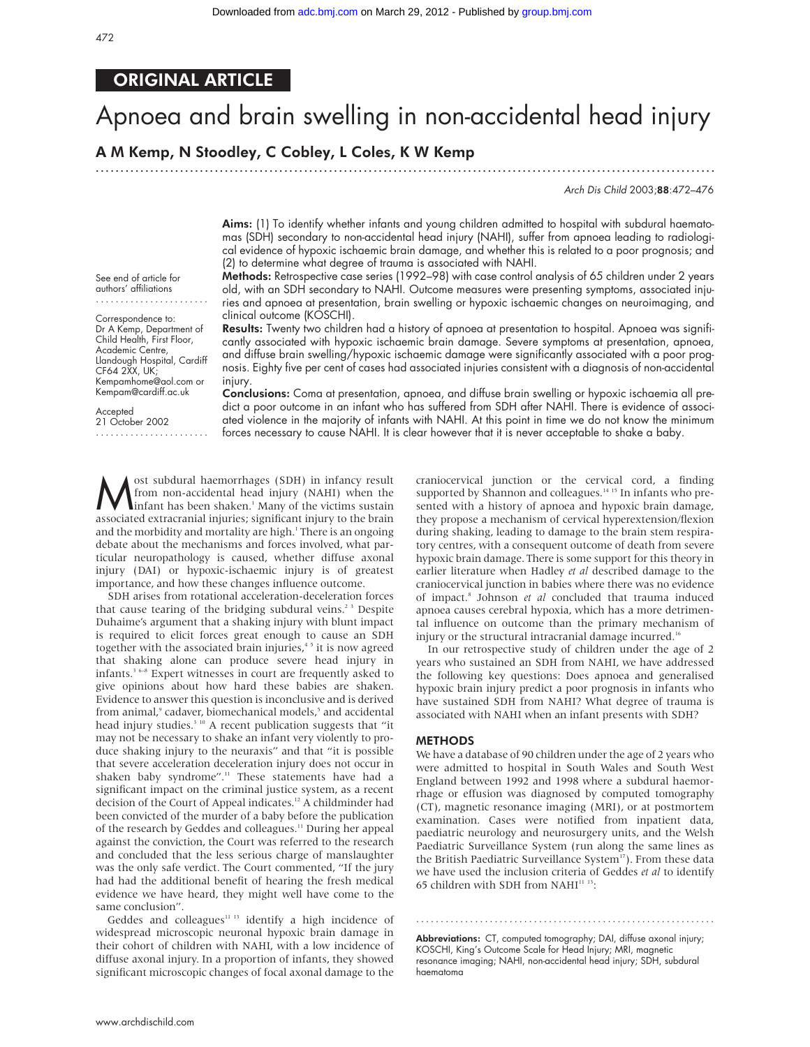### ORIGINAL ARTICLE

# Apnoea and brain swelling in non-accidental head injury

## A M Kemp, N Stoodley, C Cobley, L Coles, K W Kemp

.............................................................................................................................

Arch Dis Child 2003;88:472–476

Aims: (1) To identify whether infants and young children admitted to hospital with subdural haematomas (SDH) secondary to non-accidental head injury (NAHI), suffer from apnoea leading to radiological evidence of hypoxic ischaemic brain damage, and whether this is related to a poor prognosis; and (2) to determine what degree of trauma is associated with NAHI.

Methods: Retrospective case series (1992–98) with case control analysis of 65 children under 2 years old, with an SDH secondary to NAHI. Outcome measures were presenting symptoms, associated injuries and apnoea at presentation, brain swelling or hypoxic ischaemic changes on neuroimaging, and clinical outcome (KOSCHI).

Results: Twenty two children had a history of apnoea at presentation to hospital. Apnoea was significantly associated with hypoxic ischaemic brain damage. Severe symptoms at presentation, apnoea, and diffuse brain swelling/hypoxic ischaemic damage were significantly associated with a poor prognosis. Eighty five per cent of cases had associated injuries consistent with a diagnosis of non-accidental injury.

See end of article for authors' affiliations .......................

Correspondence to: Dr A Kemp, Department of Child Health, First Floor, Academic Centre, Llandough Hospital, Cardiff CF64 2XX, UK; Kempamhome@aol.com or Kempam@cardiff.ac.uk

Accepted 21 October 2002 .......................

Conclusions: Coma at presentation, apnoea, and diffuse brain swelling or hypoxic ischaemia all predict a poor outcome in an infant who has suffered from SDH after NAHI. There is evidence of associated violence in the majority of infants with NAHI. At this point in time we do not know the minimum forces necessary to cause NAHI. It is clear however that it is never acceptable to shake a baby.

**M** ost subdural haemorrhages (SDH) in infancy result<br>from non-accidental head injury (NAHI) when the<br>infant has been shaken.<sup>1</sup> Many of the victims sustain<br>associated extracranial injuries: significant injury to the brain from non-accidental head injury (NAHI) when the  $\lim$ fant has been shaken.<sup>1</sup> Many of the victims sustain associated extracranial injuries; significant injury to the brain and the morbidity and mortality are high.<sup>1</sup> There is an ongoing debate about the mechanisms and forces involved, what particular neuropathology is caused, whether diffuse axonal injury (DAI) or hypoxic-ischaemic injury is of greatest importance, and how these changes influence outcome.

SDH arises from rotational acceleration-deceleration forces that cause tearing of the bridging subdural veins.<sup>23</sup> Despite Duhaime's argument that a shaking injury with blunt impact is required to elicit forces great enough to cause an SDH together with the associated brain injuries,<sup>45</sup> it is now agreed that shaking alone can produce severe head injury in infants.3 6–8 Expert witnesses in court are frequently asked to give opinions about how hard these babies are shaken. Evidence to answer this question is inconclusive and is derived from animal,<sup>9</sup> cadaver, biomechanical models,<sup>5</sup> and accidental head injury studies.<sup>3 10</sup> A recent publication suggests that "it may not be necessary to shake an infant very violently to produce shaking injury to the neuraxis" and that "it is possible that severe acceleration deceleration injury does not occur in shaken baby syndrome".<sup>11</sup> These statements have had a significant impact on the criminal justice system, as a recent decision of the Court of Appeal indicates.<sup>12</sup> A childminder had been convicted of the murder of a baby before the publication of the research by Geddes and colleagues.<sup>11</sup> During her appeal against the conviction, the Court was referred to the research and concluded that the less serious charge of manslaughter was the only safe verdict. The Court commented, "If the jury had had the additional benefit of hearing the fresh medical evidence we have heard, they might well have come to the same conclusion".

Geddes and colleagues<sup>11 13</sup> identify a high incidence of widespread microscopic neuronal hypoxic brain damage in their cohort of children with NAHI, with a low incidence of diffuse axonal injury. In a proportion of infants, they showed significant microscopic changes of focal axonal damage to the craniocervical junction or the cervical cord, a finding supported by Shannon and colleagues.<sup>14 15</sup> In infants who presented with a history of apnoea and hypoxic brain damage, they propose a mechanism of cervical hyperextension/flexion during shaking, leading to damage to the brain stem respiratory centres, with a consequent outcome of death from severe hypoxic brain damage. There is some support for this theory in earlier literature when Hadley *et al* described damage to the craniocervical junction in babies where there was no evidence of impact.8 Johnson *et al* concluded that trauma induced apnoea causes cerebral hypoxia, which has a more detrimental influence on outcome than the primary mechanism of injury or the structural intracranial damage incurred.<sup>16</sup>

In our retrospective study of children under the age of 2 years who sustained an SDH from NAHI, we have addressed the following key questions: Does apnoea and generalised hypoxic brain injury predict a poor prognosis in infants who have sustained SDH from NAHI? What degree of trauma is associated with NAHI when an infant presents with SDH?

#### METHODS

We have a database of 90 children under the age of 2 years who were admitted to hospital in South Wales and South West England between 1992 and 1998 where a subdural haemorrhage or effusion was diagnosed by computed tomography (CT), magnetic resonance imaging (MRI), or at postmortem examination. Cases were notified from inpatient data, paediatric neurology and neurosurgery units, and the Welsh Paediatric Surveillance System (run along the same lines as the British Paediatric Surveillance System<sup>17</sup>). From these data we have used the inclusion criteria of Geddes *et al* to identify 65 children with SDH from NAHI $^{\rm 11\ 13}\!$  :

Abbreviations: CT, computed tomography; DAI, diffuse axonal injury; KOSCHI, King's Outcome Scale for Head Injury; MRI, magnetic resonance imaging; NAHI, non-accidental head injury; SDH, subdural haematoma

.............................................................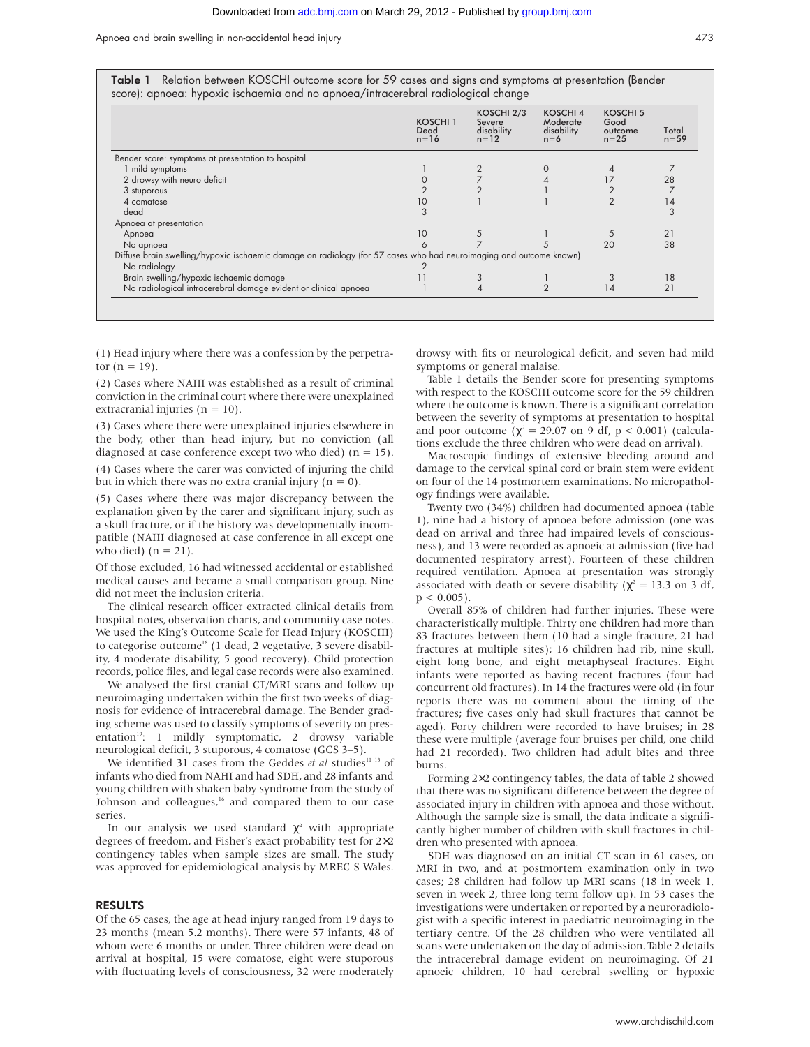Apnoea and brain swelling in non-accidental head injury 473

|                                                                                                                    | KOSCHI 1<br>Dead<br>$n = 16$ | KOSCHI 2/3<br>Severe<br>disability<br>$n = 12$ | <b>KOSCHI4</b><br>Moderate<br>disability<br>$n=6$ | <b>KOSCHI 5</b><br>Good<br>outcome<br>$n = 25$ | Total<br>$n = 59$ |
|--------------------------------------------------------------------------------------------------------------------|------------------------------|------------------------------------------------|---------------------------------------------------|------------------------------------------------|-------------------|
| Bender score: symptoms at presentation to hospital                                                                 |                              |                                                |                                                   |                                                |                   |
| 1 mild symptoms                                                                                                    |                              |                                                |                                                   |                                                |                   |
| 2 drowsy with neuro deficit                                                                                        |                              |                                                |                                                   |                                                | 28                |
| 3 stuporous                                                                                                        |                              |                                                |                                                   |                                                |                   |
| 4 comatose                                                                                                         | 10                           |                                                |                                                   | $\overline{2}$                                 | 14                |
| dead                                                                                                               |                              |                                                |                                                   |                                                | 3                 |
| Apnoea at presentation                                                                                             |                              |                                                |                                                   |                                                |                   |
| Apnoea                                                                                                             | 10                           | 5                                              |                                                   |                                                | 21                |
| No apnoea                                                                                                          |                              |                                                |                                                   | 20                                             | 38                |
| Diffuse brain swelling/hypoxic ischaemic damage on radiology (for 57 cases who had neuroimaging and outcome known) |                              |                                                |                                                   |                                                |                   |
| No radiology                                                                                                       |                              |                                                |                                                   |                                                |                   |
| Brain swelling/hypoxic ischaemic damage                                                                            |                              |                                                |                                                   |                                                | 18                |
| No radiological intracerebral damage evident or clinical apnoea                                                    |                              | 4                                              |                                                   | 14                                             | 21                |

(1) Head injury where there was a confession by the perpetrator  $(n = 19)$ .

(2) Cases where NAHI was established as a result of criminal conviction in the criminal court where there were unexplained extracranial injuries ( $n = 10$ ).

(3) Cases where there were unexplained injuries elsewhere in the body, other than head injury, but no conviction (all diagnosed at case conference except two who died)  $(n = 15)$ .

(4) Cases where the carer was convicted of injuring the child but in which there was no extra cranial injury ( $n = 0$ ).

(5) Cases where there was major discrepancy between the explanation given by the carer and significant injury, such as a skull fracture, or if the history was developmentally incompatible (NAHI diagnosed at case conference in all except one who died)  $(n = 21)$ .

Of those excluded, 16 had witnessed accidental or established medical causes and became a small comparison group. Nine did not meet the inclusion criteria.

The clinical research officer extracted clinical details from hospital notes, observation charts, and community case notes. We used the King's Outcome Scale for Head Injury (KOSCHI) to categorise outcome<sup>18</sup> (1 dead, 2 vegetative, 3 severe disability, 4 moderate disability, 5 good recovery). Child protection records, police files, and legal case records were also examined.

We analysed the first cranial CT/MRI scans and follow up neuroimaging undertaken within the first two weeks of diagnosis for evidence of intracerebral damage. The Bender grading scheme was used to classify symptoms of severity on presentation<sup>19</sup>: 1 mildly symptomatic, 2 drowsy variable neurological deficit, 3 stuporous, 4 comatose (GCS 3–5).

We identified 31 cases from the Geddes *et al* studies<sup>11 13</sup> of infants who died from NAHI and had SDH, and 28 infants and young children with shaken baby syndrome from the study of Johnson and colleagues,<sup>16</sup> and compared them to our case series.

In our analysis we used standard  $\chi^2$  with appropriate degrees of freedom, and Fisher's exact probability test for 2×2 contingency tables when sample sizes are small. The study was approved for epidemiological analysis by MREC S Wales.

#### RESULTS

Of the 65 cases, the age at head injury ranged from 19 days to 23 months (mean 5.2 months). There were 57 infants, 48 of whom were 6 months or under. Three children were dead on arrival at hospital, 15 were comatose, eight were stuporous with fluctuating levels of consciousness, 32 were moderately drowsy with fits or neurological deficit, and seven had mild symptoms or general malaise.

Table 1 details the Bender score for presenting symptoms with respect to the KOSCHI outcome score for the 59 children where the outcome is known. There is a significant correlation between the severity of symptoms at presentation to hospital and poor outcome ( $\chi^2 = 29.07$  on 9 df, p < 0.001) (calculations exclude the three children who were dead on arrival).

Macroscopic findings of extensive bleeding around and damage to the cervical spinal cord or brain stem were evident on four of the 14 postmortem examinations. No micropathology findings were available.

Twenty two (34%) children had documented apnoea (table 1), nine had a history of apnoea before admission (one was dead on arrival and three had impaired levels of consciousness), and 13 were recorded as apnoeic at admission (five had documented respiratory arrest). Fourteen of these children required ventilation. Apnoea at presentation was strongly associated with death or severe disability ( $\chi^2$  = 13.3 on 3 df,  $p < 0.005$ ).

Overall 85% of children had further injuries. These were characteristically multiple. Thirty one children had more than 83 fractures between them (10 had a single fracture, 21 had fractures at multiple sites); 16 children had rib, nine skull, eight long bone, and eight metaphyseal fractures. Eight infants were reported as having recent fractures (four had concurrent old fractures). In 14 the fractures were old (in four reports there was no comment about the timing of the fractures; five cases only had skull fractures that cannot be aged). Forty children were recorded to have bruises; in 28 these were multiple (average four bruises per child, one child had 21 recorded). Two children had adult bites and three burns.

Forming 2×2 contingency tables, the data of table 2 showed that there was no significant difference between the degree of associated injury in children with apnoea and those without. Although the sample size is small, the data indicate a significantly higher number of children with skull fractures in children who presented with apnoea.

SDH was diagnosed on an initial CT scan in 61 cases, on MRI in two, and at postmortem examination only in two cases; 28 children had follow up MRI scans (18 in week 1, seven in week 2, three long term follow up). In 53 cases the investigations were undertaken or reported by a neuroradiologist with a specific interest in paediatric neuroimaging in the tertiary centre. Of the 28 children who were ventilated all scans were undertaken on the day of admission. Table 2 details the intracerebral damage evident on neuroimaging. Of 21 apnoeic children, 10 had cerebral swelling or hypoxic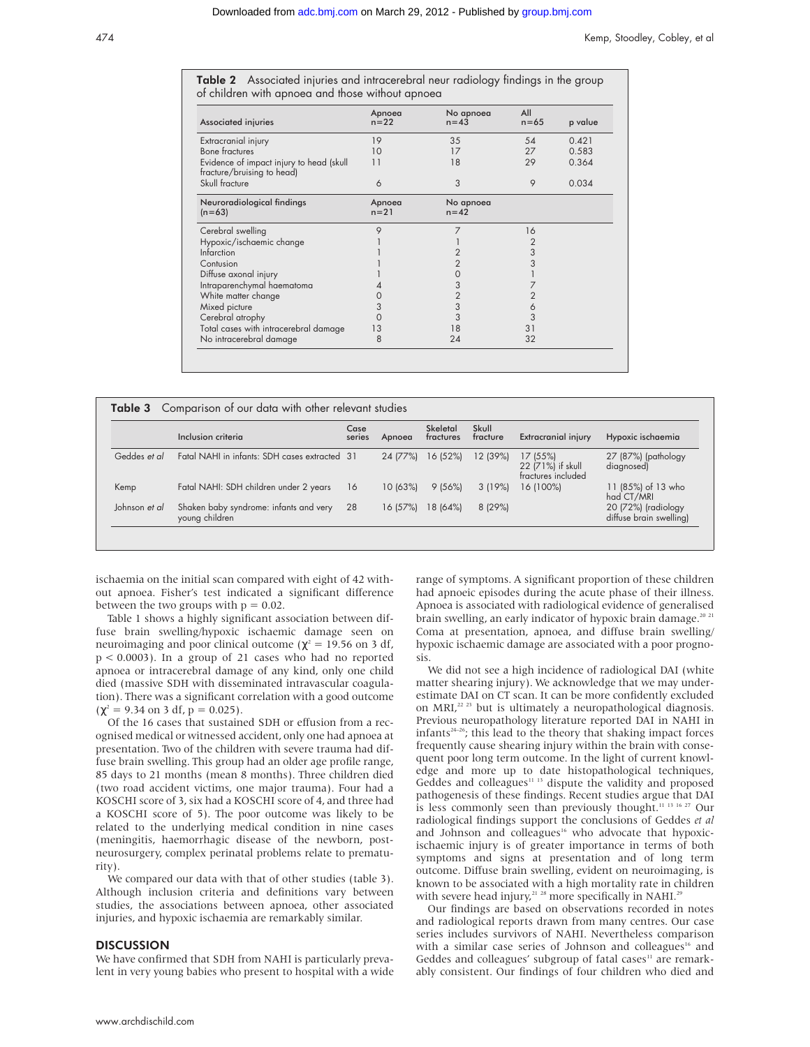**Table 2** Associated injuries and intracerebral neur radiology findings in the group of children with apnoea and those without apnoea

| Associated injuries                                                    | Apnoea<br>$n=22$   | No apnoea<br>$n = 43$ | All<br>$n = 65$ | p value |
|------------------------------------------------------------------------|--------------------|-----------------------|-----------------|---------|
| Extracranial injury                                                    | 19                 | 35                    | 54              | 0.421   |
| <b>Bone fractures</b>                                                  | 10                 | 17                    | 27              | 0.583   |
| Evidence of impact injury to head (skull<br>fracture/bruising to head) | 11                 | 18                    | 29              | 0.364   |
| Skull fracture                                                         | 6                  | 3                     | 9               | 0.034   |
| Neuroradiological findings<br>$(n=63)$                                 | Apnoea<br>$n = 21$ | No apnoea<br>$n = 42$ |                 |         |
| Cerebral swelling                                                      | 9                  |                       | 16              |         |
| Hypoxic/ischaemic change                                               |                    |                       | 2               |         |
| Infarction                                                             |                    | 2                     | 3               |         |
| Contusion                                                              |                    | $\overline{2}$        |                 |         |
| Diffuse axonal injury                                                  |                    | 0                     |                 |         |
| Intraparenchymal haematoma                                             |                    | 3                     |                 |         |
| White matter change                                                    |                    | $\overline{2}$        |                 |         |
| Mixed picture                                                          | 3                  | 3                     | 6               |         |
| Cerebral atrophy                                                       | 0                  | 3                     | 3               |         |
| Total cases with intracerebral damage                                  | 13                 | 18                    | 31              |         |
| No intracerebral damage                                                | 8                  | 24                    | 32              |         |

|               | Inclusion criteria                                       | Case<br>series | Apnoea   | Skeletal<br>fractures | Skull<br>fracture | <b>Extracranial injury</b>                         | Hypoxic ischaemia                              |
|---------------|----------------------------------------------------------|----------------|----------|-----------------------|-------------------|----------------------------------------------------|------------------------------------------------|
| Geddes et al  | Fatal NAHI in infants: SDH cases extracted 31            |                | 24 (77%) | 16 (52%)              | 12 (39%)          | 17(55%)<br>22 (71%) if skull<br>fractures included | 27 (87%) (pathology<br>diagnosed)              |
| Kemp          | Fatal NAHI: SDH children under 2 years                   | 16             | 10(63%)  | 9(56%)                | 3(19%)            | 16 (100%)                                          | 11 (85%) of 13 who<br>had CT/MRI               |
| Johnson et al | Shaken baby syndrome: infants and very<br>young children | 28             | 16(57%)  | 18 (64%)              | 8(29%)            |                                                    | 20 (72%) (radiology<br>diffuse brain swelling) |

ischaemia on the initial scan compared with eight of 42 without apnoea. Fisher's test indicated a significant difference between the two groups with  $p = 0.02$ .

Table 1 shows a highly significant association between diffuse brain swelling/hypoxic ischaemic damage seen on neuroimaging and poor clinical outcome ( $χ² = 19.56$  on 3 df, p < 0.0003). In a group of 21 cases who had no reported apnoea or intracerebral damage of any kind, only one child died (massive SDH with disseminated intravascular coagulation). There was a significant correlation with a good outcome  $(\chi^2 = 9.34 \text{ on } 3 \text{ df}, p = 0.025).$ 

Of the 16 cases that sustained SDH or effusion from a recognised medical or witnessed accident, only one had apnoea at presentation. Two of the children with severe trauma had diffuse brain swelling. This group had an older age profile range, 85 days to 21 months (mean 8 months). Three children died (two road accident victims, one major trauma). Four had a KOSCHI score of 3, six had a KOSCHI score of 4, and three had a KOSCHI score of 5). The poor outcome was likely to be related to the underlying medical condition in nine cases (meningitis, haemorrhagic disease of the newborn, postneurosurgery, complex perinatal problems relate to prematurity).

We compared our data with that of other studies (table 3). Although inclusion criteria and definitions vary between studies, the associations between apnoea, other associated injuries, and hypoxic ischaemia are remarkably similar.

#### **DISCUSSION**

We have confirmed that SDH from NAHI is particularly prevalent in very young babies who present to hospital with a wide range of symptoms. A significant proportion of these children had apnoeic episodes during the acute phase of their illness. Apnoea is associated with radiological evidence of generalised brain swelling, an early indicator of hypoxic brain damage.<sup>20 21</sup> Coma at presentation, apnoea, and diffuse brain swelling/ hypoxic ischaemic damage are associated with a poor prognosis.

We did not see a high incidence of radiological DAI (white matter shearing injury). We acknowledge that we may underestimate DAI on CT scan. It can be more confidently excluded on MRI,<sup>22 23</sup> but is ultimately a neuropathological diagnosis. Previous neuropathology literature reported DAI in NAHI in  $infants<sup>24-26</sup>$ ; this lead to the theory that shaking impact forces frequently cause shearing injury within the brain with consequent poor long term outcome. In the light of current knowledge and more up to date histopathological techniques, Geddes and colleagues<sup>11 13</sup> dispute the validity and proposed pathogenesis of these findings. Recent studies argue that DAI is less commonly seen than previously thought.11 13 16 27 Our radiological findings support the conclusions of Geddes *et al* and Johnson and colleagues<sup>16</sup> who advocate that hypoxicischaemic injury is of greater importance in terms of both symptoms and signs at presentation and of long term outcome. Diffuse brain swelling, evident on neuroimaging, is known to be associated with a high mortality rate in children with severe head injury, $2128$  more specifically in NAHI.<sup>29</sup>

Our findings are based on observations recorded in notes and radiological reports drawn from many centres. Our case series includes survivors of NAHI. Nevertheless comparison with a similar case series of Johnson and colleagues<sup>16</sup> and Geddes and colleagues' subgroup of fatal cases<sup>11</sup> are remarkably consistent. Our findings of four children who died and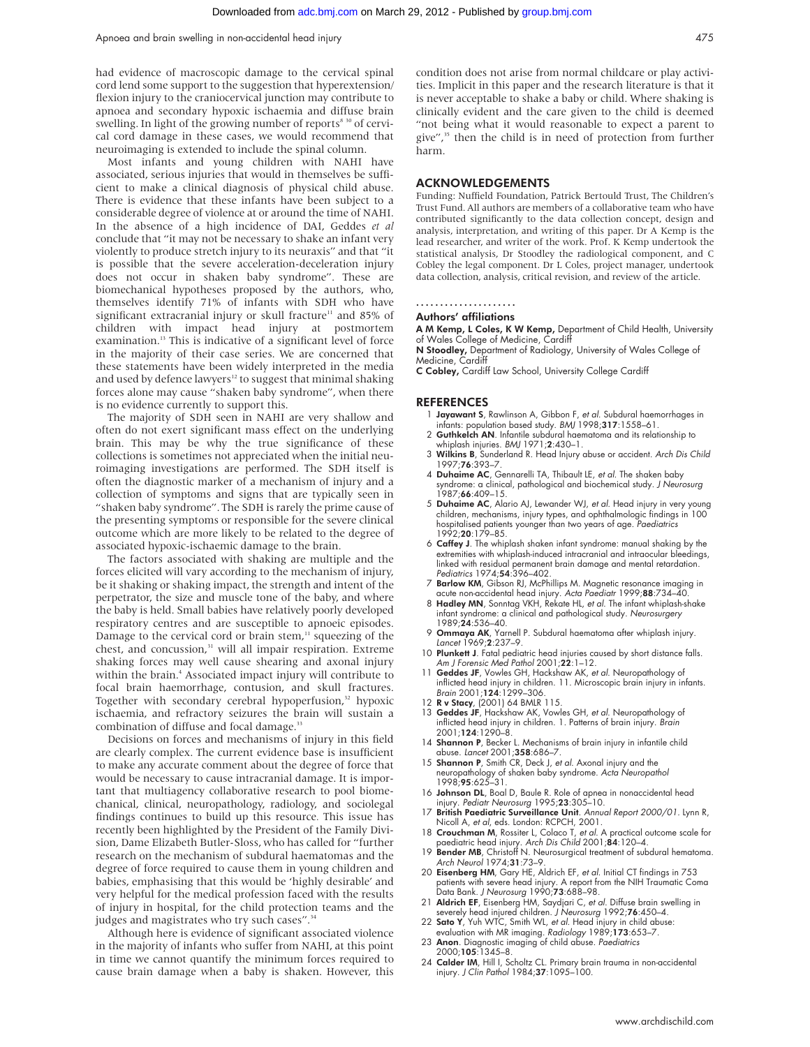had evidence of macroscopic damage to the cervical spinal cord lend some support to the suggestion that hyperextension/ flexion injury to the craniocervical junction may contribute to apnoea and secondary hypoxic ischaemia and diffuse brain swelling. In light of the growing number of reports<sup>8 30</sup> of cervical cord damage in these cases, we would recommend that neuroimaging is extended to include the spinal column.

Most infants and young children with NAHI have associated, serious injuries that would in themselves be sufficient to make a clinical diagnosis of physical child abuse. There is evidence that these infants have been subject to a considerable degree of violence at or around the time of NAHI. In the absence of a high incidence of DAI, Geddes *et al* conclude that "it may not be necessary to shake an infant very violently to produce stretch injury to its neuraxis" and that "it is possible that the severe acceleration-deceleration injury does not occur in shaken baby syndrome". These are biomechanical hypotheses proposed by the authors, who, themselves identify 71% of infants with SDH who have significant extracranial injury or skull fracture<sup>11</sup> and 85% of children with impact head injury at postmortem examination.<sup>13</sup> This is indicative of a significant level of force in the majority of their case series. We are concerned that these statements have been widely interpreted in the media and used by defence lawyers $12$  to suggest that minimal shaking forces alone may cause "shaken baby syndrome", when there is no evidence currently to support this.

The majority of SDH seen in NAHI are very shallow and often do not exert significant mass effect on the underlying brain. This may be why the true significance of these collections is sometimes not appreciated when the initial neuroimaging investigations are performed. The SDH itself is often the diagnostic marker of a mechanism of injury and a collection of symptoms and signs that are typically seen in "shaken baby syndrome". The SDH is rarely the prime cause of the presenting symptoms or responsible for the severe clinical outcome which are more likely to be related to the degree of associated hypoxic-ischaemic damage to the brain.

The factors associated with shaking are multiple and the forces elicited will vary according to the mechanism of injury, be it shaking or shaking impact, the strength and intent of the perpetrator, the size and muscle tone of the baby, and where the baby is held. Small babies have relatively poorly developed respiratory centres and are susceptible to apnoeic episodes. Damage to the cervical cord or brain stem,<sup>11</sup> squeezing of the chest, and concussion,<sup>31</sup> will all impair respiration. Extreme shaking forces may well cause shearing and axonal injury within the brain.<sup>4</sup> Associated impact injury will contribute to focal brain haemorrhage, contusion, and skull fractures. Together with secondary cerebral hypoperfusion, $32$  hypoxic ischaemia, and refractory seizures the brain will sustain a combination of diffuse and focal damage.<sup>33</sup>

Decisions on forces and mechanisms of injury in this field are clearly complex. The current evidence base is insufficient to make any accurate comment about the degree of force that would be necessary to cause intracranial damage. It is important that multiagency collaborative research to pool biomechanical, clinical, neuropathology, radiology, and sociolegal findings continues to build up this resource*.* This issue has recently been highlighted by the President of the Family Division, Dame Elizabeth Butler-Sloss, who has called for "further research on the mechanism of subdural haematomas and the degree of force required to cause them in young children and babies, emphasising that this would be 'highly desirable' and very helpful for the medical profession faced with the results of injury in hospital, for the child protection teams and the judges and magistrates who try such cases".<sup>34</sup>

Although here is evidence of significant associated violence in the majority of infants who suffer from NAHI, at this point in time we cannot quantify the minimum forces required to cause brain damage when a baby is shaken. However, this

#### ACKNOWLEDGEMENTS

Funding: Nuffield Foundation, Patrick Bertould Trust, The Children's Trust Fund. All authors are members of a collaborative team who have contributed significantly to the data collection concept, design and analysis, interpretation, and writing of this paper. Dr A Kemp is the lead researcher, and writer of the work. Prof. K Kemp undertook the statistical analysis, Dr Stoodley the radiological component, and C Cobley the legal component. Dr L Coles, project manager, undertook data collection, analysis, critical revision, and review of the article.

#### .....................

Authors' affiliations

A M Kemp, L Coles, K W Kemp, Department of Child Health, University of Wales College of Medicine, Cardiff

N Stoodley, Department of Radiology, University of Wales College of Medicine, Cardiff

C Cobley, Cardiff Law School, University College Cardiff

#### **REFERENCES**

- 1 Jayawant S, Rawlinson A, Gibbon F, et al. Subdural haemorrhages in infants: population based study. BMJ 1998;317:1558-61.
- 2 Guthkelch AN. Infantile subdural haematoma and its relationship to whiplash injuries. BMJ 1971;2:430–1.
- 3 Wilkins B, Sunderland R. Head Injury abuse or accident. Arch Dis Child 1997;76:393–7.
- 4 Duhaime AC, Gennarelli TA, Thibault LE, et al. The shaken baby syndrome: a clinical, pathological and biochemical study. J Neurosurg 1987;66:409–15.
- 5 Duhaime AC, Alario AJ, Lewander WJ, et al. Head injury in very young children, mechanisms, injury types, and ophthalmologic findings in 100 hospitalised patients younger than two years of age. Paediatrics 1992;20:179–85.
- 6 Caffey J. The whiplash shaken infant syndrome: manual shaking by the extremities with whiplash-induced intracranial and intraocular bleedings, linked with residual permanent brain damage and mental retardation Pediatrics 1974;54:396–402.
- 7 Barlow KM, Gibson RJ, McPhillips M. Magnetic resonance imaging in
- acute non-accidental head injury. *Acta Paediatr* 1999;**88**:734–40.<br>8 Hadley MN, Sonntag VKH, Rekate HL, *et al*. The infant whiplash-shake infant syndrome: a clinical and pathological study. Neurosurgery  $1989.24.536 - 40$
- 9 Ommaya AK, Yarnell P. Subdural haematoma after whiplash injury. Lancet 1969;2:237–9.
- 10 Plunkett J. Fatal pediatric head injuries caused by short distance falls. Am J Forensic Med Pathol 2001;22:1-12.
- 11 Geddes JF, Vowles GH, Hackshaw AK, et al. Neuropathology of inflicted head injury in children. 11. Microscopic brain injury in infants.<br>*Brain* 2001;**124**:1299–306.
- 12 R v Stacy, (2001) 64 BMLR 115.
- 13 Geddes JF, Hackshaw AK, Vowles GH, et al. Neuropathology of inflicted head injury in children. 1. Patterns of brain injury. Brain 2001;124:1290–8.
- 14 Shannon P, Becker L. Mechanisms of brain injury in infantile child abuse. Lancet 2001;358:686–7.
- 15 Shannon P, Smith CR, Deck J, et al. Axonal injury and the neuropathology of shaken baby syndrome. *Acta Neuropathol*<br>1998;**95**:625–31.
- 16 Johnson DL, Boal D, Baule R. Role of apnea in nonaccidental head injury. Pediatr Neurosurg 1995;23:305–10.
- 17 British Paediatric Surveillance Unit. Annual Report 2000/01. Lynn R, Nicoll A, et al, eds. London: RCPCH, 2001.
- 
- 18 Crouchman M, Rossiter L, Colaco T, et al. A practical outcome scale for<br>paedictric head injury. Arch Dis Child 2001;84:120–4.<br>19 Bender MB, Christoff N. Neurosurgical treatment of subdural hematoma.<br>Arch Neurol 1974;31:
- 20 Eisenberg HM, Gary HE, Aldrich EF, et al. Initial CT findings in 753 patients with severe head injury. A report from the NIH Traumatic Coma Data Bank. J Neurosurg 1990;73:688-98.
- 21 Aldrich EF, Eisenberg HM, Saydjari C, et al. Diffuse brain swelling in severely head injured children. J Neurosurg 1992;76:450–4.
- 22 Sato Y, Yuh WTC, Smith WL, et al. Head injury in child abuse: evaluation with MR imaging. Radiology 1989;173:653–7.
- 23 Anon. Diagnostic imaging of child abuse. Paediatrics 2000;105:1345–8.
- 24 Calder IM, Hill I, Scholtz CL. Primary brain trauma in non-accidental injury. J Clin Pathol 1984;37:1095–100.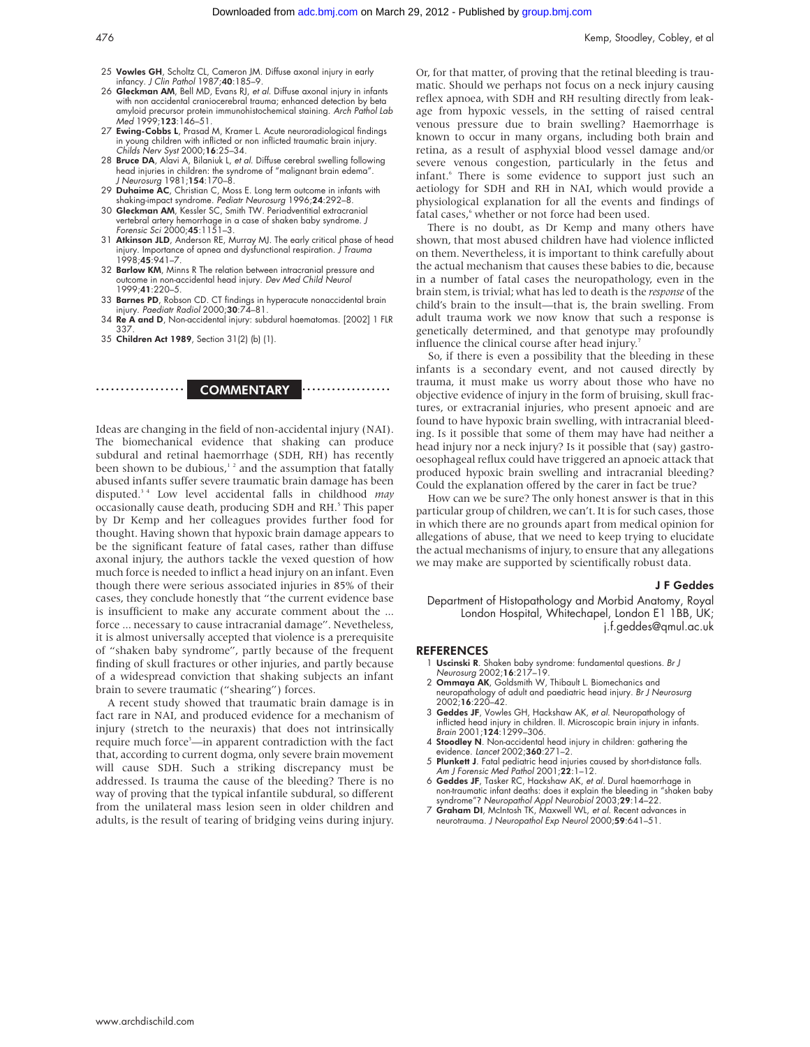- 25 Vowles GH, Scholtz CL, Cameron JM. Diffuse axonal injury in early infancy. J Clin Pathol 1987;40:185–9.
- 26 Gleckman AM, Bell MD, Evans RJ, et al. Diffuse axonal injury in infants with non accidental craniocerebral trauma; enhanced detection by beta amyloid precursor protein immunohistochemical staining. Arch Pathol Lab  $M<sub>eq</sub>$ d 1999 $\cdot$ **123** $\cdot$ 146–51
- 27 Ewing-Cobbs L, Prasad M, Kramer L. Acute neuroradiological findings in young children with inflicted or non inflicted traumatic brain injury.<br>*Childs Nerv Syst* 2000;**16**:25–34.
- 28 Bruce DA, Alavi A, Bilaniuk L, et al. Diffuse cerebral swelling following head injuries in children: the syndrome of "malignant brain edema". J Neurosurg 1981;154:170–8.
- 29 Duhaime AC, Christian C, Moss E. Long term outcome in infants with shaking-impact syndrome. Pediatr Neurosurg 1996;24:292–8.
- 30 Gleckman AM, Kessler SC, Smith TW. Periadventitial extracranial vertebral artery hemorrhage in a case of shaken baby syndrome. J Forensic Sci 2000;45:1151–3.
- 31 Atkinson JLD, Anderson RE, Murray MJ. The early critical phase of head injury. Importance of apnea and dysfunctional respiration. J Trauma 1998;45:941–7.
- 32 Barlow KM, Minns R The relation between intracranial pressure and outcome in non-accidental head injury. Dev Med Child Neurol 1999;41:220–5.
- 33 Barnes PD, Robson CD. CT findings in hyperacute nonaccidental brain injury. Paediatr Radiol 2000;30:74-81.
- 34 Re A and D, Non-accidental injury: subdural haematomas. [2002] 1 FLR 337.
- 35 Children Act 1989, Section 31(2) (b) (1).



Ideas are changing in the field of non-accidental injury (NAI). The biomechanical evidence that shaking can produce subdural and retinal haemorrhage (SDH, RH) has recently been shown to be dubious, $12$  and the assumption that fatally abused infants suffer severe traumatic brain damage has been disputed.3 4 Low level accidental falls in childhood *may* occasionally cause death, producing SDH and RH.<sup>5</sup> This paper by Dr Kemp and her colleagues provides further food for thought. Having shown that hypoxic brain damage appears to be the significant feature of fatal cases, rather than diffuse axonal injury, the authors tackle the vexed question of how much force is needed to inflict a head injury on an infant. Even though there were serious associated injuries in 85% of their cases, they conclude honestly that "the current evidence base is insufficient to make any accurate comment about the ... force ... necessary to cause intracranial damage". Nevetheless, it is almost universally accepted that violence is a prerequisite of "shaken baby syndrome", partly because of the frequent finding of skull fractures or other injuries, and partly because of a widespread conviction that shaking subjects an infant brain to severe traumatic ("shearing") forces.

A recent study showed that traumatic brain damage is in fact rare in NAI, and produced evidence for a mechanism of injury (stretch to the neuraxis) that does not intrinsically require much force<sup>3</sup>—in apparent contradiction with the fact that, according to current dogma, only severe brain movement will cause SDH. Such a striking discrepancy must be addressed. Is trauma the cause of the bleeding? There is no way of proving that the typical infantile subdural, so different from the unilateral mass lesion seen in older children and adults, is the result of tearing of bridging veins during injury.

Or, for that matter, of proving that the retinal bleeding is traumatic. Should we perhaps not focus on a neck injury causing reflex apnoea, with SDH and RH resulting directly from leakage from hypoxic vessels, in the setting of raised central venous pressure due to brain swelling? Haemorrhage is known to occur in many organs, including both brain and retina, as a result of asphyxial blood vessel damage and/or severe venous congestion, particularly in the fetus and infant.<sup>6</sup> There is some evidence to support just such an aetiology for SDH and RH in NAI, which would provide a physiological explanation for all the events and findings of fatal cases,<sup>6</sup> whether or not force had been used.

There is no doubt, as Dr Kemp and many others have shown, that most abused children have had violence inflicted on them. Nevertheless, it is important to think carefully about the actual mechanism that causes these babies to die, because in a number of fatal cases the neuropathology, even in the brain stem, is trivial; what has led to death is the *response* of the child's brain to the insult—that is, the brain swelling. From adult trauma work we now know that such a response is genetically determined, and that genotype may profoundly influence the clinical course after head injury.<sup>7</sup>

So, if there is even a possibility that the bleeding in these infants is a secondary event, and not caused directly by trauma, it must make us worry about those who have no objective evidence of injury in the form of bruising, skull fractures, or extracranial injuries, who present apnoeic and are found to have hypoxic brain swelling, with intracranial bleeding. Is it possible that some of them may have had neither a head injury nor a neck injury? Is it possible that (say) gastrooesophageal reflux could have triggered an apnoeic attack that produced hypoxic brain swelling and intracranial bleeding? Could the explanation offered by the carer in fact be true?

How can we be sure? The only honest answer is that in this particular group of children, we can't. It is for such cases, those in which there are no grounds apart from medical opinion for allegations of abuse, that we need to keep trying to elucidate the actual mechanisms of injury, to ensure that any allegations we may make are supported by scientifically robust data.

#### J F Geddes

Department of Histopathology and Morbid Anatomy, Royal London Hospital, Whitechapel, London E1 1BB, UK; j.f.geddes@qmul.ac.uk

#### **REFERENCES**

- 1 Uscinski R. Shaken baby syndrome: fundamental questions. Br J Neurosurg 2002;16:217–19.
- 2 Ommaya AK, Goldsmith W, Thibault L. Biomechanics and neuropathology of adult and paediatric head injury. Br J Neurosurg 2002;16:220–42.
- 3 Geddes JF, Vowles GH, Hackshaw AK, et al. Neuropathology of inflicted head injury in children. II. Microscopic brain injury in infants.<br>*Brain* 2001;**124**:1299–306.
- 4 Stoodley N. Non-accidental head injury in children: gathering the evidence. Lancet 2002;360:271–2.
- 5 Plunkett J. Fatal pediatric head injuries caused by short-distance falls. Am J Forensic Med Pathol 2001;22:1-12.
- 6 Geddes JF, Tasker RC, Hackshaw AK, et al. Dural haemorrhage in non-traumatic infant deaths: does it explain the bleeding in "shaken baby<br>syndrome"? Neuropathol Appl Neurobiol 2003;**29**:14–22.<br>**7 Graham DI**, McIntosh TK, Maxwell WL, et al. Recent advances in<br>**neurotrauma.** J Neuropatho
-